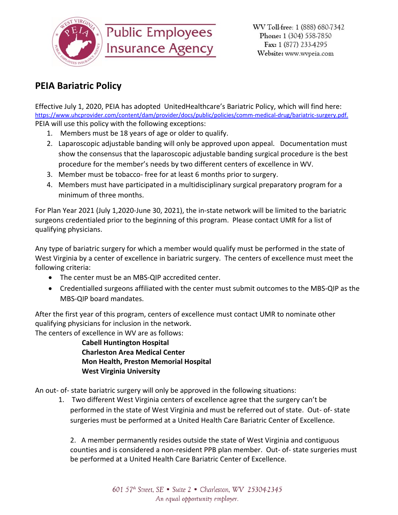

## **PEIA Bariatric Policy**

Effective July 1, 2020, PEIA has adopted UnitedHealthcare's Bariatric Policy, which will find here: [https://www.uhcprovider.com/content/dam/provider/docs/public/policies/comm-medical-drug/bariatric-surgery.pdf.](https://www.uhcprovider.com/content/dam/provider/docs/public/policies/comm-medical-drug/bariatric-surgery.pdf) PEIA will use this policy with the following exceptions:

- 1. Members must be 18 years of age or older to qualify.
- 2. Laparoscopic adjustable banding will only be approved upon appeal. Documentation must show the consensus that the laparoscopic adjustable banding surgical procedure is the best procedure for the member's needs by two different centers of excellence in WV.
- 3. Member must be tobacco- free for at least 6 months prior to surgery.
- 4. Members must have participated in a multidisciplinary surgical preparatory program for a minimum of three months.

For Plan Year 2021 (July 1,2020-June 30, 2021), the in-state network will be limited to the bariatric surgeons credentialed prior to the beginning of this program. Please contact UMR for a list of qualifying physicians.

Any type of bariatric surgery for which a member would qualify must be performed in the state of West Virginia by a center of excellence in bariatric surgery. The centers of excellence must meet the following criteria:

- The center must be an MBS-QIP accredited center.
- Credentialled surgeons affiliated with the center must submit outcomes to the MBS-QIP as the MBS-QIP board mandates.

After the first year of this program, centers of excellence must contact UMR to nominate other qualifying physicians for inclusion in the network.

The centers of excellence in WV are as follows:

**Cabell Huntington Hospital Charleston Area Medical Center Mon Health, Preston Memorial Hospital West Virginia University**

An out- of- state bariatric surgery will only be approved in the following situations:

1. Two different West Virginia centers of excellence agree that the surgery can't be performed in the state of West Virginia and must be referred out of state. Out- of- state surgeries must be performed at a United Health Care Bariatric Center of Excellence.

2. A member permanently resides outside the state of West Virginia and contiguous counties and is considered a non-resident PPB plan member. Out- of- state surgeries must be performed at a United Health Care Bariatric Center of Excellence.